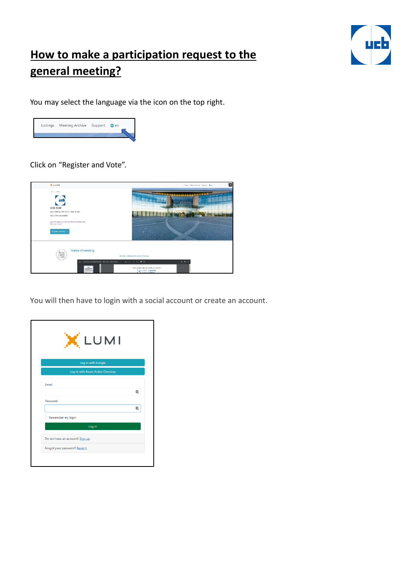

## **How to make a participation request to the general meeting?**

You may select the language via the icon on the top right.



Click on "Register and Vote".



You will then have to login with a social account or create an account.

| X LUMI                             |  |
|------------------------------------|--|
| Log in with Google                 |  |
| Log in with Azure Active Directory |  |
| Email                              |  |
|                                    |  |
| Password                           |  |
|                                    |  |
| Remember my login                  |  |
| Log in                             |  |
| Do not have an account? Sign up    |  |
| Forgot your password? Reset it     |  |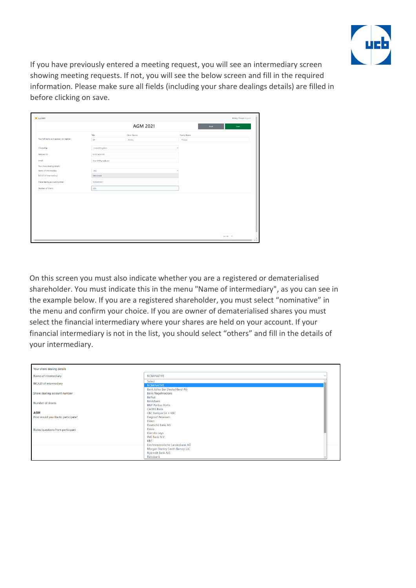

If you have previously entered a meeting request, you will see an intermediary screen showing meeting requests. If not, you will see the below screen and fill in the required information. Please make sure all fields (including your share dealings details) are filled in before clicking on save.

|                                           |                   | <b>AGM 2021</b> |              | Back | Save |
|-------------------------------------------|-------------------|-----------------|--------------|------|------|
|                                           | Title             | Given Names     | Family Name  |      |      |
| Your full name as it appears on register: | Mr                | Bobby           | Thorpe       |      |      |
| <b>Citizenship:</b>                       | United Kingdom    |                 | $\checkmark$ |      |      |
| National ID:                              | UK123456789       |                 |              |      |      |
| Email:                                    | thorr04@gmail.com |                 |              |      |      |
| Your share dealing details:               |                   |                 |              |      |      |
| Name of intermediary:                     | ING               |                 | $\checkmark$ |      |      |
| BIC/LEI of intermediary:                  | BBRUBEBB          |                 |              |      |      |
| Share dealing account number:             | \$D10000001       |                 |              |      |      |
| Number of shares:                         | 200               |                 |              |      |      |
|                                           |                   |                 |              |      |      |
|                                           |                   |                 |              |      |      |
|                                           |                   |                 |              |      |      |
|                                           |                   |                 |              |      |      |
|                                           |                   |                 |              |      |      |
|                                           |                   |                 |              |      |      |
|                                           |                   |                 |              |      |      |
|                                           |                   |                 |              |      |      |
|                                           |                   |                 |              |      |      |

On this screen you must also indicate whether you are a registered or dematerialised shareholder. You must indicate this in the menu "Name of intermediary", as you can see in the example below. If you are a registered shareholder, you must select "nominative" in the menu and confirm your choice. If you are owner of dematerialised shares you must select the financial intermediary where your shares are held on your account. If your financial intermediary is not in the list, you should select "others" and fill in the details of your intermediary.

| Your share dealing details                       |                                                                                                |
|--------------------------------------------------|------------------------------------------------------------------------------------------------|
| Name of intermediary                             | <b>NOMINATIVE</b>                                                                              |
| BIC/LEI of intermediary                          | Select<br><b>NOMINATIVE</b>                                                                    |
| Share dealing account number                     | Bank Julius Bar Deutschland AG<br><b>Bank Nagelmackers</b><br>Belfius                          |
| Number of shares                                 | BinckBank<br><b>BNP Paribas Fortis</b>                                                         |
| <b>AGM</b><br>How would you like to participate? | <b>CACEIS Bank</b><br>$CBC$ Banque $SA = KBC$<br>Degroof Petercam<br>Delen<br>Deutsche Bank AG |
| Notes/questions from participant                 | Dexia<br>Dierickx Leys<br>ING Bank N.V.<br>KBC<br>Liechtensteinische Landesbank AG             |
|                                                  | Morgan Stanley Smith Barney LLC<br>Nykredit Bank A/S<br>Rabobank                               |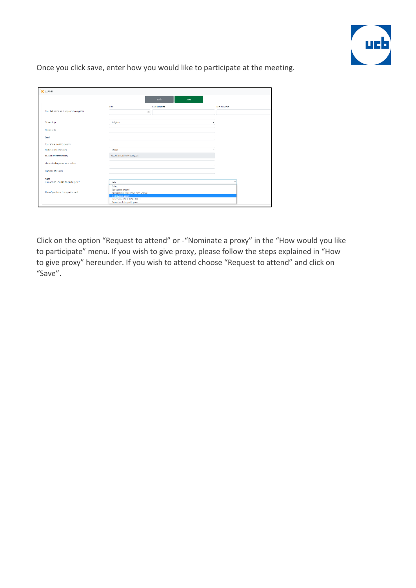

Once you click save, enter how you would like to participate at the meeting.

| <b>X</b> LUMI                            |                                                                                                                                                                     |             |
|------------------------------------------|---------------------------------------------------------------------------------------------------------------------------------------------------------------------|-------------|
|                                          | Back                                                                                                                                                                | Save        |
|                                          | Title<br>Given names                                                                                                                                                | Family name |
| Your full name as it appears on register | $[] \centering \includegraphics[width=0.47\textwidth]{figs/fig_1002-100}} \caption{The 3D (blue) and the 4D (blue) are shown in Fig.~\ref{fig:10}.} \label{fig:10}$ |             |
|                                          |                                                                                                                                                                     |             |
| Citizenship                              | Belgium                                                                                                                                                             |             |
| National ID                              |                                                                                                                                                                     |             |
| Email                                    |                                                                                                                                                                     |             |
| Your share dealing details               |                                                                                                                                                                     |             |
| Name of intermediary                     | Helfus                                                                                                                                                              |             |
| <b>BIC/LEI of intermediary</b>           | ASGWLFH3KM7YV2SFQL84                                                                                                                                                |             |
| Share dealing account number             |                                                                                                                                                                     |             |
| Number of shares                         |                                                                                                                                                                     |             |
|                                          |                                                                                                                                                                     |             |
| <b>AGM</b>                               |                                                                                                                                                                     |             |
| How would you like to participate?       | Select:<br>Select                                                                                                                                                   |             |
|                                          | Request to attend                                                                                                                                                   |             |
| Notes/questions from participant         | Appoint chairman (NOT AVAILABLE)                                                                                                                                    |             |
|                                          | Nominate a proxy                                                                                                                                                    |             |
|                                          | Direct vote [NOT AVAILABLE]<br>Do not wish to participate                                                                                                           |             |

Click on the option "Request to attend" or -"Nominate a proxy" in the "How would you like to participate" menu. If you wish to give proxy, please follow the steps explained in "How to give proxy" hereunder. If you wish to attend choose "Request to attend" and click on "Save".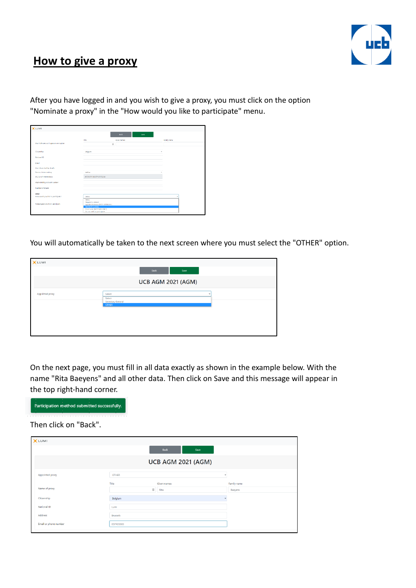

## **How to give a proxy**

After you have logged in and you wish to give a proxy, you must click on the option "Nominate a proxy" in the "How would you like to participate" menu.

| <b>XLUMI</b>                             |                                                                 |             |
|------------------------------------------|-----------------------------------------------------------------|-------------|
|                                          | Back<br>Save                                                    |             |
|                                          | title<br>Given names                                            | Family name |
| Your full name as it appears on register | $\begin{array}{c} 3 \end{array}$                                |             |
| <b>Citizenship</b>                       | Belgium                                                         | ×.          |
| National ID                              |                                                                 |             |
| Crasil                                   |                                                                 |             |
| Your share dealing details               |                                                                 |             |
| Name of intermediary                     | Belfus                                                          | ×.          |
| <b>BIC/Ltd of intermediary</b>           | ASGWLFH3KM7YV2SFQL84                                            |             |
| Share dealing account number             |                                                                 |             |
| Number of shares                         |                                                                 |             |
| AGM                                      |                                                                 |             |
| How would you like to participate?       | Select                                                          |             |
| Notes/questions from participant         | Select<br>Request to attend<br>Appoint chairman (NO1 AVAILABLE) |             |
|                                          | Nominato a proxy<br>Direct vote [NOT AVAILABLE]                 |             |
|                                          | Do not wish to participate                                      |             |

You will automatically be taken to the next screen where you must select the "OTHER" option.

| XLUMI           |                             |
|-----------------|-----------------------------|
|                 | Back<br>Save                |
|                 | <b>UCB AGM 2021 (AGM)</b>   |
| Appointed proxy | Select                      |
|                 | Select<br>Secretary General |
|                 | <b>OTHER</b>                |
|                 |                             |
|                 |                             |

On the next page, you must fill in all data exactly as shown in the example below. With the name "Rita Baeyens" and all other data. Then click on Save and this message will appear in the top right-hand corner.



Then click on "Back".

| <b>X</b> LUMI         |                 |                                                |              |
|-----------------------|-----------------|------------------------------------------------|--------------|
|                       |                 | Back<br>Save                                   |              |
|                       |                 | <b>UCB AGM 2021 (AGM)</b>                      |              |
| Appointed proxy       | <b>OTHER</b>    |                                                | $\checkmark$ |
|                       | Title           | Given names                                    | Family name  |
| Name of proxy         |                 | $\begin{array}{c} \square \end{array}$<br>Rita | Baeyens      |
| Citizenship           | Belgium         |                                                | $\checkmark$ |
| National ID           | Lumi            |                                                |              |
| Address               | <b>Brussels</b> |                                                |              |
| Email or phone number | 037403300       |                                                |              |
|                       |                 |                                                |              |